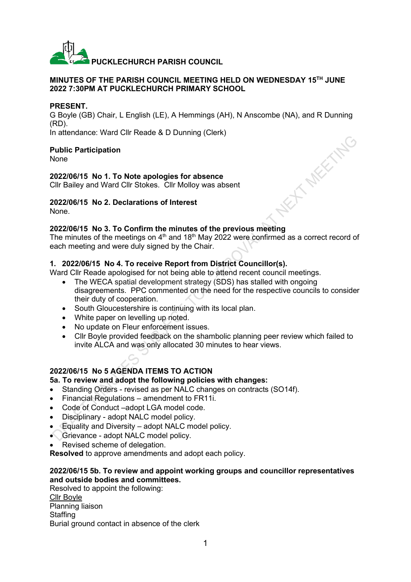

### **MINUTES OF THE PARISH COUNCIL MEETING HELD ON WEDNESDAY 15 TH JUNE 2022 7:30PM AT PUCKLECHURCH PRIMARY SCHOOL**

### **PRESENT.**

G Boyle (GB) Chair, L English (LE), A Hemmings (AH), N Anscombe (NA), and R Dunning (RD). **KIT MEETING** 

In attendance: Ward Cllr Reade & D Dunning (Clerk)

### **Public Participation**

None

### **2022/06/15 No 1. To Note apologies for absence**

Cllr Bailey and Ward Cllr Stokes. Cllr Molloy was absent

# **2022/06/15 No 2. Declarations of Interest**

None.

## **2022/06/15 No 3. To Confirm the minutes of the previous meeting**

The minutes of the meetings on  $4<sup>th</sup>$  and 18<sup>th</sup> May 2022 were confirmed as a correct record of each meeting and were duly signed by the Chair.

## **1. 2022/06/15 No 4. To receive Report from District Councillor(s).**

Ward Cllr Reade apologised for not being able to attend recent council meetings.

- The WECA spatial development strategy (SDS) has stalled with ongoing disagreements. PPC commented on the need for the respective councils to consider their duty of cooperation.
- South Gloucestershire is continuing with its local plan.
- White paper on levelling up noted.
- No update on Fleur enforcement issues.
- Cllr Boyle provided feedback on the shambolic planning peer review which failed to invite ALCA and was only allocated 30 minutes to hear views.

# **2022/06/15 No 5 AGENDA ITEMS TO ACTION**

### **5a. To review and adopt the following policies with changes:**

- Standing Orders revised as per NALC changes on contracts (SO14f).
- Financial Regulations amendment to FR11i.
- Code of Conduct –adopt LGA model code.
- Disciplinary adopt NALC model policy.
- Equality and Diversity adopt NALC model policy.
- Grievance adopt NALC model policy.
- Revised scheme of delegation.

**Resolved** to approve amendments and adopt each policy.

## **2022/06/15 5b. To review and appoint working groups and councillor representatives and outside bodies and committees.**

Resolved to appoint the following: Cllr Boyle Planning liaison **Staffing** Burial ground contact in absence of the clerk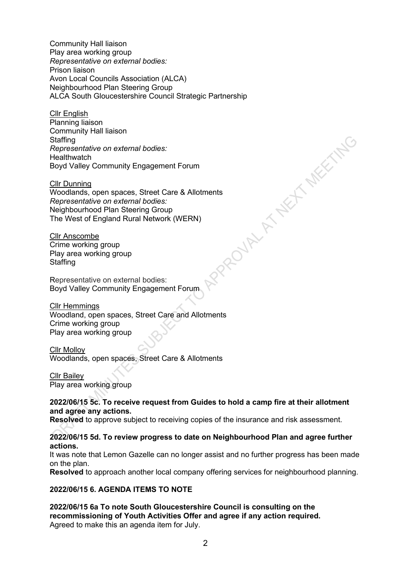Community Hall liaison Play area working group *Representative on external bodies:* Prison liaison Avon Local Councils Association (ALCA) Neighbourhood Plan Steering Group ALCA South Gloucestershire Council Strategic Partnership

Cllr English Planning liaison Community Hall liaison **Staffing** *Representative on external bodies:* **Healthwatch** Boyd Valley Community Engagement Forum woodlands, open spaces, Street Care & Allotments<br>
Representative on external bodies:<br>
Neighbourhood Plan Steering Group<br>
The West of England Rural Network (WERN)<br>
CIIr Anscombe<br>
Crime working group<br>
Play area working group

Cllr Dunning

*Representative on external bodies:* Neighbourhood Plan Steering Group The West of England Rural Network (WERN)

**Cllr Anscombe** Crime working group Play area working group **Staffing** 

Representative on external bodies: Boyd Valley Community Engagement Forum

Cllr Hemmings Woodland, open spaces, Street Care and Allotments Crime working group Play area working group

Cllr Molloy Woodlands, open spaces, Street Care & Allotments

Cllr Bailey Play area working group

## **2022/06/15 5c. To receive request from Guides to hold a camp fire at their allotment and agree any actions.**

**Resolved** to approve subject to receiving copies of the insurance and risk assessment.

## **2022/06/15 5d. To review progress to date on Neighbourhood Plan and agree further actions.**

It was note that Lemon Gazelle can no longer assist and no further progress has been made on the plan.

**Resolved** to approach another local company offering services for neighbourhood planning.

# **2022/06/15 6. AGENDA ITEMS TO NOTE**

**2022/06/15 6a To note South Gloucestershire Council is consulting on the recommissioning of Youth Activities Offer and agree if any action required.** Agreed to make this an agenda item for July.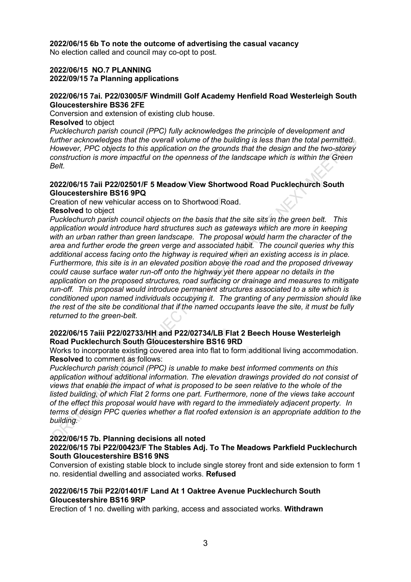### **2022/06/15 6b To note the outcome of advertising the casual vacancy**

No election called and council may co-opt to post.

## **2022/06/15 NO.7 PLANNING**

# **2022/09/15 7a Planning applications**

### **2022/06/15 7ai. P22/03005/F Windmill Golf Academy Henfield Road Westerleigh South Gloucestershire BS36 2FE**

Conversion and extension of existing club house.

### **Resolved** to object

*Pucklechurch parish council (PPC) fully acknowledges the principle of development and further acknowledges that the overall volume of the building is less than the total permitted. However, PPC objects to this application on the grounds that the design and the two-storey construction is more impactful on the openness of the landscape which is within the Green Belt.*

### **2022/06/15 7aii P22/02501/F 5 Meadow View Shortwood Road Pucklechurch South Gloucestershire BS16 9PQ**

Creation of new vehicular access on to Shortwood Road.

# **Resolved** to object

*Pucklechurch parish council objects on the basis that the site sits in the green belt. This application would introduce hard structures such as gateways which are more in keeping with an urban rather than green landscape. The proposal would harm the character of the area and further erode the green verge and associated habit. The council queries why this additional access facing onto the highway is required when an existing access is in place. Furthermore, this site is in an elevated position above the road and the proposed driveway could cause surface water run-off onto the highway yet there appear no details in the application on the proposed structures, road surfacing or drainage and measures to mitigate run-off. This proposal would introduce permanent structures associated to a site which is conditioned upon named individuals occupying it. The granting of any permission should like the rest of the site be conditional that if the named occupants leave the site, it must be fully returned to the green-belt.*

## **2022/06/15 7aiii P22/02733/HH and P22/02734/LB Flat 2 Beech House Westerleigh Road Pucklechurch South Gloucestershire BS16 9RD**

Works to incorporate existing covered area into flat to form additional living accommodation. **Resolved** to comment as follows:

*Pucklechurch parish council (PPC) is unable to make best informed comments on this application without additional information. The elevation drawings provided do not consist of views that enable the impact of what is proposed to be seen relative to the whole of the listed building, of which Flat 2 forms one part. Furthermore, none of the views take account of the effect this proposal would have with regard to the immediately adjacent property. In terms of design PPC queries whether a flat roofed extension is an appropriate addition to the building.*

# **2022/06/15 7b. Planning decisions all noted**

## **2022/06/15 7bi P22/00423/F The Stables Adj. To The Meadows Parkfield Pucklechurch South Gloucestershire BS16 9NS**

Conversion of existing stable block to include single storey front and side extension to form 1 no. residential dwelling and associated works. **Refused**

### **2022/06/15 7bii P22/01401/F Land At 1 Oaktree Avenue Pucklechurch South Gloucestershire BS16 9RP**

Erection of 1 no. dwelling with parking, access and associated works. **Withdrawn**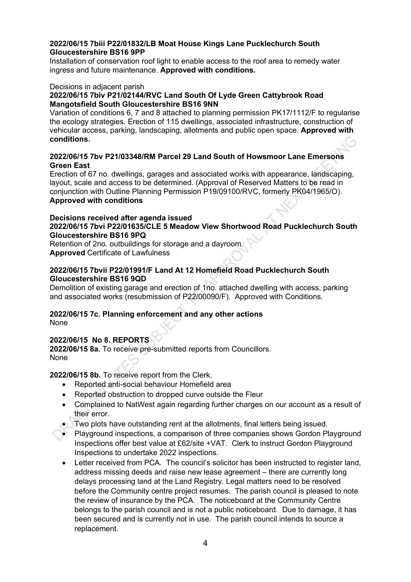## **2022/06/15 7biii P22/01832/LB Moat House Kings Lane Pucklechurch South Gloucestershire BS16 9PP**

Installation of conservation roof light to enable access to the roof area to remedy water ingress and future maintenance. **Approved with conditions.**

### Decisions in adjacent parish

## **2022/06/15 7biv P21/02144/RVC Land South Of Lyde Green Cattybrook Road Mangotsfield South Gloucestershire BS16 9NN**

Variation of conditions 6, 7 and 8 attached to planning permission PK17/1112/F to regularise the ecology strategies. Erection of 115 dwellings, associated infrastructure, construction of vehicular access, parking, landscaping, allotments and public open space. **Approved with conditions.**

## **2022/06/15 7bv P21/03348/RM Parcel 29 Land South of Howsmoor Lane Emersons Green East**

Erection of 67 no. dwellings, garages and associated works with appearance, landscaping, layout, scale and access to be determined. (Approval of Reserved Matters to be read in conjunction with Outline Planning Permission P19/09100/RVC, formerly PK04/1965/O). **Approved with conditions**

### **Decisions received after agenda issued 2022/06/15 7bvi P22/01635/CLE 5 Meadow View Shortwood Road Pucklechurch South Gloucestershire BS16 9PQ**

Retention of 2no. outbuildings for storage and a dayroom. **Approved** Certificate of Lawfulness

## **2022/06/15 7bvii P22/01991/F Land At 12 Homefield Road Pucklechurch South Gloucestershire BS16 9QD**

Demolition of existing garage and erection of 1no. attached dwelling with access, parking and associated works (resubmission of P22/00090/F). Approved with Conditions.

# **2022/06/15 7c. Planning enforcement and any other actions**

None

# **2022/06/15 No 8. REPORTS**

**2022/06/15 8a.** To receive pre-submitted reports from Councillors. None

**2022/06/15 8b.** To receive report from the Clerk.

- Reported anti-social behaviour Homefield area
- Reported obstruction to dropped curve outside the Fleur
- Complained to NatWest again regarding further charges on our account as a result of their error.
- Two plots have outstanding rent at the allotments, final letters being issued.
- Playground inspections, a comparison of three companies shows Gordon Playground Inspections offer best value at £62/site +VAT. Clerk to instruct Gordon Playground Inspections to undertake 2022 inspections.
- Letter received from PCA. The council's solicitor has been instructed to register land, address missing deeds and raise new lease agreement – there are currently long delays processing land at the Land Registry. Legal matters need to be resolved before the Community centre project resumes. The parish council is pleased to note the review of insurance by the PCA. The noticeboard at the Community Centre belongs to the parish council and is not a public noticeboard. Due to damage, it has been secured and is currently not in use. The parish council intends to source a replacement.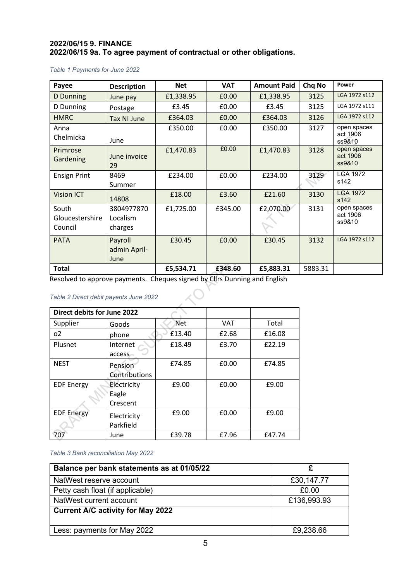## **2022/06/15 9. FINANCE 2022/06/15 9a. To agree payment of contractual or other obligations.**

#### *Table 1 Payments for June 2022*

| Payee                               | <b>Description</b>                | <b>Net</b> | <b>VAT</b> | <b>Amount Paid</b> | Chq No  | Power                             |
|-------------------------------------|-----------------------------------|------------|------------|--------------------|---------|-----------------------------------|
| D Dunning                           | June pay                          | £1,338.95  | £0.00      | £1,338.95          | 3125    | LGA 1972 s112                     |
| D Dunning                           | Postage                           | £3.45      | £0.00      | £3.45              | 3125    | LGA 1972 s111                     |
| <b>HMRC</b>                         | <b>Tax NI June</b>                | £364.03    | £0.00      | £364.03            | 3126    | LGA 1972 s112                     |
| Anna<br>Chelmicka                   | June                              | £350.00    | £0.00      | £350.00            | 3127    | open spaces<br>act 1906<br>ss9&10 |
| Primrose<br>Gardening               | June invoice<br>29                | £1,470.83  | £0.00      | £1,470.83          | 3128    | open spaces<br>act 1906<br>ss9&10 |
| <b>Ensign Print</b>                 | 8469<br>Summer                    | £234.00    | £0.00      | £234.00            | 3129    | <b>LGA 1972</b><br>s142           |
| <b>Vision ICT</b>                   | 14808                             | £18.00     | £3.60      | £21.60             | 3130    | <b>LGA 1972</b><br>s142           |
| South<br>Gloucestershire<br>Council | 3804977870<br>Localism<br>charges | £1,725.00  | £345.00    | £2,070.00          | 3131    | open spaces<br>act 1906<br>ss9&10 |
| <b>PATA</b>                         | Payroll<br>admin April-<br>June   | £30.45     | £0.00      | £30.45             | 3132    | LGA 1972 s112                     |
| <b>Total</b>                        |                                   | £5,534.71  | £348.60    | £5,883.31          | 5883.31 |                                   |

Resolved to approve payments. Cheques signed by Cllrs Dunning and English

### *Table 2 Direct debit payents June 2022*

|                   | Direct debits for June 2022 |            |            |        |  |  |  |  |
|-------------------|-----------------------------|------------|------------|--------|--|--|--|--|
| Supplier          | Goods                       | <b>Net</b> | <b>VAT</b> | Total  |  |  |  |  |
| 0 <sup>2</sup>    | phone                       | £13.40     | £2.68      | £16.08 |  |  |  |  |
| Plusnet           | Internet                    | £18.49     | £3.70      | £22.19 |  |  |  |  |
|                   | access                      |            |            |        |  |  |  |  |
| <b>NEST</b>       | Pension                     | £74.85     | £0.00      | £74.85 |  |  |  |  |
|                   | Contributions               |            |            |        |  |  |  |  |
| <b>EDF Energy</b> | Electricity                 | £9.00      | £0.00      | £9.00  |  |  |  |  |
|                   | Eagle                       |            |            |        |  |  |  |  |
|                   | Crescent                    |            |            |        |  |  |  |  |
| <b>EDF Energy</b> | Electricity                 | £9.00      | £0.00      | £9.00  |  |  |  |  |
|                   | Parkfield                   |            |            |        |  |  |  |  |
| 707               | June                        | £39.78     | £7.96      | £47.74 |  |  |  |  |

### *Table 3 Bank reconciliation May 2022*

| Balance per bank statements as at 01/05/22 |             |
|--------------------------------------------|-------------|
| NatWest reserve account                    | £30,147.77  |
| Petty cash float (if applicable)           | £0.00       |
| NatWest current account                    | £136,993.93 |
| <b>Current A/C activity for May 2022</b>   |             |
| Less: payments for May 2022                | £9,238.66   |